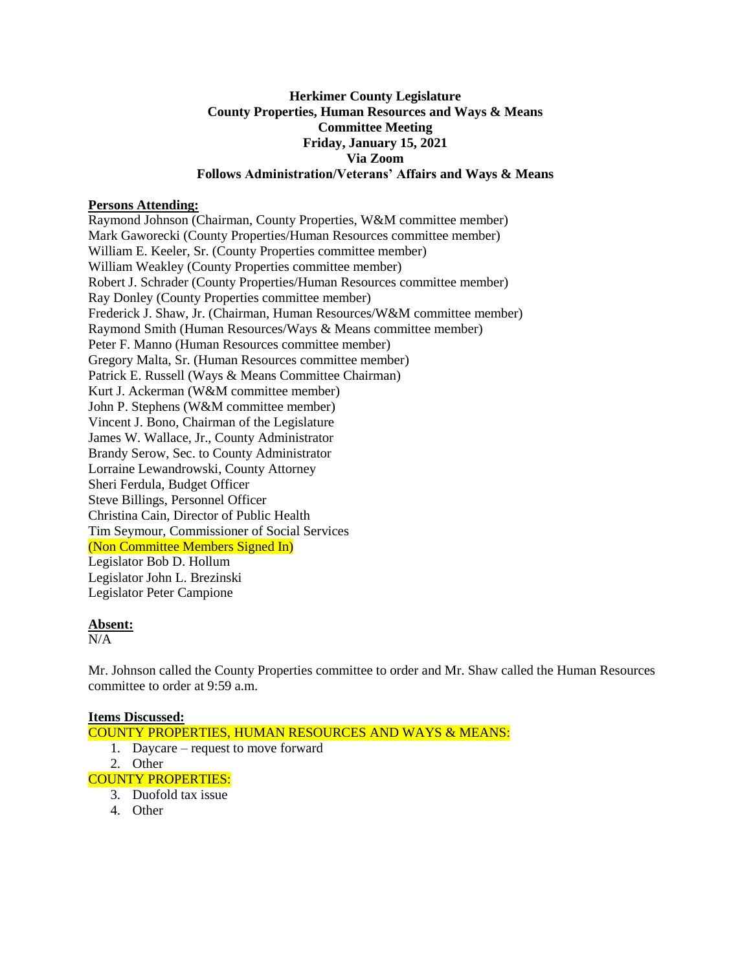# **Herkimer County Legislature County Properties, Human Resources and Ways & Means Committee Meeting Friday, January 15, 2021 Via Zoom Follows Administration/Veterans' Affairs and Ways & Means**

## **Persons Attending:**

Raymond Johnson (Chairman, County Properties, W&M committee member) Mark Gaworecki (County Properties/Human Resources committee member) William E. Keeler, Sr. (County Properties committee member) William Weakley (County Properties committee member) Robert J. Schrader (County Properties/Human Resources committee member) Ray Donley (County Properties committee member) Frederick J. Shaw, Jr. (Chairman, Human Resources/W&M committee member) Raymond Smith (Human Resources/Ways & Means committee member) Peter F. Manno (Human Resources committee member) Gregory Malta, Sr. (Human Resources committee member) Patrick E. Russell (Ways & Means Committee Chairman) Kurt J. Ackerman (W&M committee member) John P. Stephens (W&M committee member) Vincent J. Bono, Chairman of the Legislature James W. Wallace, Jr., County Administrator Brandy Serow, Sec. to County Administrator Lorraine Lewandrowski, County Attorney Sheri Ferdula, Budget Officer Steve Billings, Personnel Officer Christina Cain, Director of Public Health Tim Seymour, Commissioner of Social Services (Non Committee Members Signed In) Legislator Bob D. Hollum Legislator John L. Brezinski Legislator Peter Campione

### **Absent:**

 $N/A$ 

Mr. Johnson called the County Properties committee to order and Mr. Shaw called the Human Resources committee to order at 9:59 a.m.

### **Items Discussed:**

- COUNTY PROPERTIES, HUMAN RESOURCES AND WAYS & MEANS: 1. Daycare – request to move forward 2. Other COUNTY PROPERTIES:
	- 3. Duofold tax issue
	- 4. Other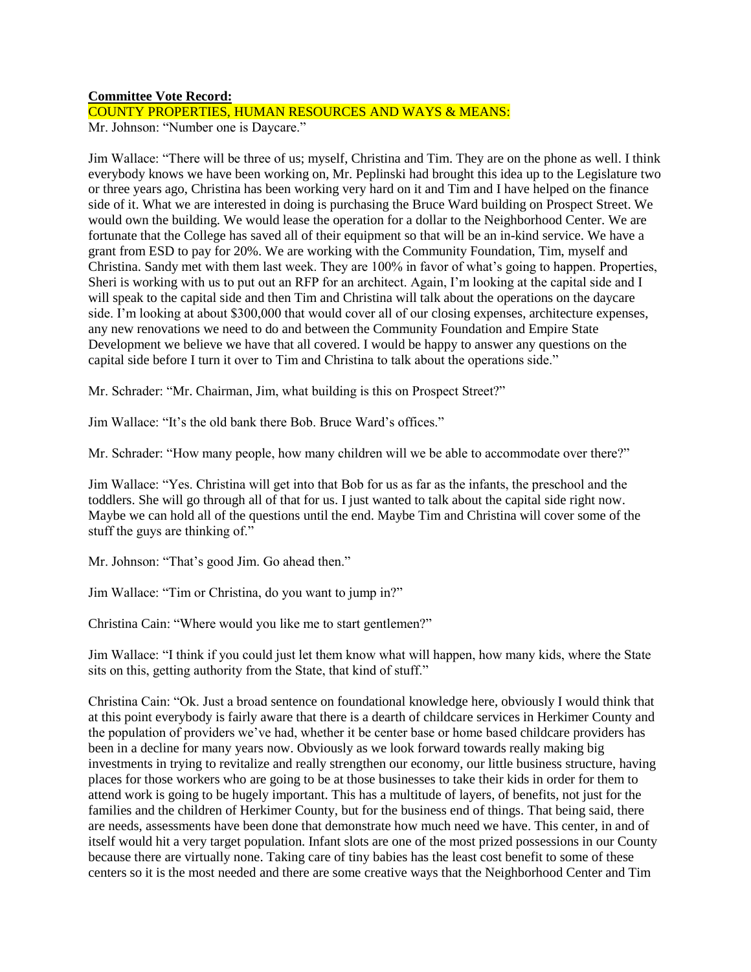### **Committee Vote Record:**

# COUNTY PROPERTIES, HUMAN RESOURCES AND WAYS & MEANS:

Mr. Johnson: "Number one is Daycare."

Jim Wallace: "There will be three of us; myself, Christina and Tim. They are on the phone as well. I think everybody knows we have been working on, Mr. Peplinski had brought this idea up to the Legislature two or three years ago, Christina has been working very hard on it and Tim and I have helped on the finance side of it. What we are interested in doing is purchasing the Bruce Ward building on Prospect Street. We would own the building. We would lease the operation for a dollar to the Neighborhood Center. We are fortunate that the College has saved all of their equipment so that will be an in-kind service. We have a grant from ESD to pay for 20%. We are working with the Community Foundation, Tim, myself and Christina. Sandy met with them last week. They are 100% in favor of what's going to happen. Properties, Sheri is working with us to put out an RFP for an architect. Again, I'm looking at the capital side and I will speak to the capital side and then Tim and Christina will talk about the operations on the daycare side. I'm looking at about \$300,000 that would cover all of our closing expenses, architecture expenses, any new renovations we need to do and between the Community Foundation and Empire State Development we believe we have that all covered. I would be happy to answer any questions on the capital side before I turn it over to Tim and Christina to talk about the operations side."

Mr. Schrader: "Mr. Chairman, Jim, what building is this on Prospect Street?"

Jim Wallace: "It's the old bank there Bob. Bruce Ward's offices."

Mr. Schrader: "How many people, how many children will we be able to accommodate over there?"

Jim Wallace: "Yes. Christina will get into that Bob for us as far as the infants, the preschool and the toddlers. She will go through all of that for us. I just wanted to talk about the capital side right now. Maybe we can hold all of the questions until the end. Maybe Tim and Christina will cover some of the stuff the guys are thinking of."

Mr. Johnson: "That's good Jim. Go ahead then."

Jim Wallace: "Tim or Christina, do you want to jump in?"

Christina Cain: "Where would you like me to start gentlemen?"

Jim Wallace: "I think if you could just let them know what will happen, how many kids, where the State sits on this, getting authority from the State, that kind of stuff."

Christina Cain: "Ok. Just a broad sentence on foundational knowledge here, obviously I would think that at this point everybody is fairly aware that there is a dearth of childcare services in Herkimer County and the population of providers we've had, whether it be center base or home based childcare providers has been in a decline for many years now. Obviously as we look forward towards really making big investments in trying to revitalize and really strengthen our economy, our little business structure, having places for those workers who are going to be at those businesses to take their kids in order for them to attend work is going to be hugely important. This has a multitude of layers, of benefits, not just for the families and the children of Herkimer County, but for the business end of things. That being said, there are needs, assessments have been done that demonstrate how much need we have. This center, in and of itself would hit a very target population. Infant slots are one of the most prized possessions in our County because there are virtually none. Taking care of tiny babies has the least cost benefit to some of these centers so it is the most needed and there are some creative ways that the Neighborhood Center and Tim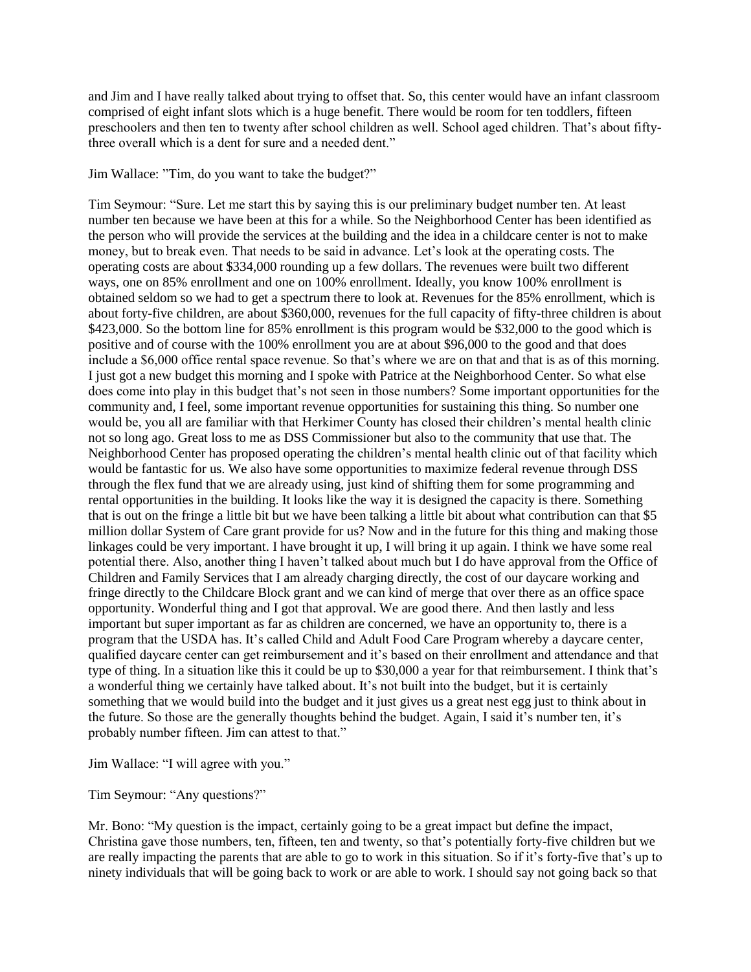and Jim and I have really talked about trying to offset that. So, this center would have an infant classroom comprised of eight infant slots which is a huge benefit. There would be room for ten toddlers, fifteen preschoolers and then ten to twenty after school children as well. School aged children. That's about fiftythree overall which is a dent for sure and a needed dent."

### Jim Wallace: "Tim, do you want to take the budget?"

Tim Seymour: "Sure. Let me start this by saying this is our preliminary budget number ten. At least number ten because we have been at this for a while. So the Neighborhood Center has been identified as the person who will provide the services at the building and the idea in a childcare center is not to make money, but to break even. That needs to be said in advance. Let's look at the operating costs. The operating costs are about \$334,000 rounding up a few dollars. The revenues were built two different ways, one on 85% enrollment and one on 100% enrollment. Ideally, you know 100% enrollment is obtained seldom so we had to get a spectrum there to look at. Revenues for the 85% enrollment, which is about forty-five children, are about \$360,000, revenues for the full capacity of fifty-three children is about \$423,000. So the bottom line for 85% enrollment is this program would be \$32,000 to the good which is positive and of course with the 100% enrollment you are at about \$96,000 to the good and that does include a \$6,000 office rental space revenue. So that's where we are on that and that is as of this morning. I just got a new budget this morning and I spoke with Patrice at the Neighborhood Center. So what else does come into play in this budget that's not seen in those numbers? Some important opportunities for the community and, I feel, some important revenue opportunities for sustaining this thing. So number one would be, you all are familiar with that Herkimer County has closed their children's mental health clinic not so long ago. Great loss to me as DSS Commissioner but also to the community that use that. The Neighborhood Center has proposed operating the children's mental health clinic out of that facility which would be fantastic for us. We also have some opportunities to maximize federal revenue through DSS through the flex fund that we are already using, just kind of shifting them for some programming and rental opportunities in the building. It looks like the way it is designed the capacity is there. Something that is out on the fringe a little bit but we have been talking a little bit about what contribution can that \$5 million dollar System of Care grant provide for us? Now and in the future for this thing and making those linkages could be very important. I have brought it up, I will bring it up again. I think we have some real potential there. Also, another thing I haven't talked about much but I do have approval from the Office of Children and Family Services that I am already charging directly, the cost of our daycare working and fringe directly to the Childcare Block grant and we can kind of merge that over there as an office space opportunity. Wonderful thing and I got that approval. We are good there. And then lastly and less important but super important as far as children are concerned, we have an opportunity to, there is a program that the USDA has. It's called Child and Adult Food Care Program whereby a daycare center, qualified daycare center can get reimbursement and it's based on their enrollment and attendance and that type of thing. In a situation like this it could be up to \$30,000 a year for that reimbursement. I think that's a wonderful thing we certainly have talked about. It's not built into the budget, but it is certainly something that we would build into the budget and it just gives us a great nest egg just to think about in the future. So those are the generally thoughts behind the budget. Again, I said it's number ten, it's probably number fifteen. Jim can attest to that."

Jim Wallace: "I will agree with you."

Tim Seymour: "Any questions?"

Mr. Bono: "My question is the impact, certainly going to be a great impact but define the impact, Christina gave those numbers, ten, fifteen, ten and twenty, so that's potentially forty-five children but we are really impacting the parents that are able to go to work in this situation. So if it's forty-five that's up to ninety individuals that will be going back to work or are able to work. I should say not going back so that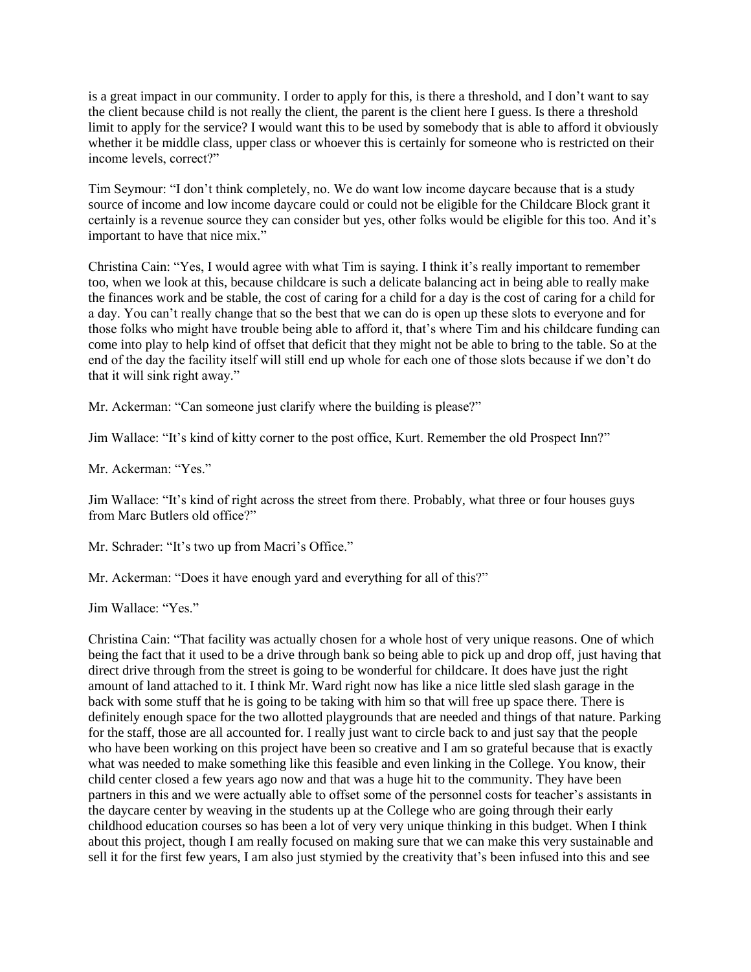is a great impact in our community. I order to apply for this, is there a threshold, and I don't want to say the client because child is not really the client, the parent is the client here I guess. Is there a threshold limit to apply for the service? I would want this to be used by somebody that is able to afford it obviously whether it be middle class, upper class or whoever this is certainly for someone who is restricted on their income levels, correct?"

Tim Seymour: "I don't think completely, no. We do want low income daycare because that is a study source of income and low income daycare could or could not be eligible for the Childcare Block grant it certainly is a revenue source they can consider but yes, other folks would be eligible for this too. And it's important to have that nice mix."

Christina Cain: "Yes, I would agree with what Tim is saying. I think it's really important to remember too, when we look at this, because childcare is such a delicate balancing act in being able to really make the finances work and be stable, the cost of caring for a child for a day is the cost of caring for a child for a day. You can't really change that so the best that we can do is open up these slots to everyone and for those folks who might have trouble being able to afford it, that's where Tim and his childcare funding can come into play to help kind of offset that deficit that they might not be able to bring to the table. So at the end of the day the facility itself will still end up whole for each one of those slots because if we don't do that it will sink right away."

Mr. Ackerman: "Can someone just clarify where the building is please?"

Jim Wallace: "It's kind of kitty corner to the post office, Kurt. Remember the old Prospect Inn?"

Mr. Ackerman: "Yes."

Jim Wallace: "It's kind of right across the street from there. Probably, what three or four houses guys from Marc Butlers old office?"

Mr. Schrader: "It's two up from Macri's Office."

Mr. Ackerman: "Does it have enough yard and everything for all of this?"

Jim Wallace: "Yes."

Christina Cain: "That facility was actually chosen for a whole host of very unique reasons. One of which being the fact that it used to be a drive through bank so being able to pick up and drop off, just having that direct drive through from the street is going to be wonderful for childcare. It does have just the right amount of land attached to it. I think Mr. Ward right now has like a nice little sled slash garage in the back with some stuff that he is going to be taking with him so that will free up space there. There is definitely enough space for the two allotted playgrounds that are needed and things of that nature. Parking for the staff, those are all accounted for. I really just want to circle back to and just say that the people who have been working on this project have been so creative and I am so grateful because that is exactly what was needed to make something like this feasible and even linking in the College. You know, their child center closed a few years ago now and that was a huge hit to the community. They have been partners in this and we were actually able to offset some of the personnel costs for teacher's assistants in the daycare center by weaving in the students up at the College who are going through their early childhood education courses so has been a lot of very very unique thinking in this budget. When I think about this project, though I am really focused on making sure that we can make this very sustainable and sell it for the first few years, I am also just stymied by the creativity that's been infused into this and see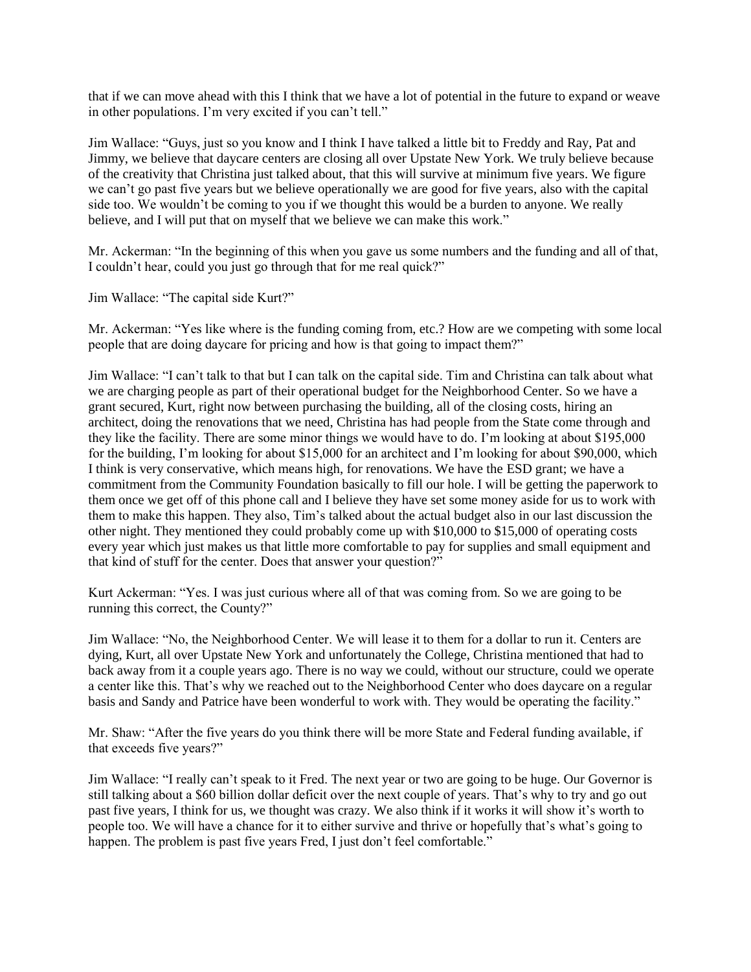that if we can move ahead with this I think that we have a lot of potential in the future to expand or weave in other populations. I'm very excited if you can't tell."

Jim Wallace: "Guys, just so you know and I think I have talked a little bit to Freddy and Ray, Pat and Jimmy, we believe that daycare centers are closing all over Upstate New York. We truly believe because of the creativity that Christina just talked about, that this will survive at minimum five years. We figure we can't go past five years but we believe operationally we are good for five years, also with the capital side too. We wouldn't be coming to you if we thought this would be a burden to anyone. We really believe, and I will put that on myself that we believe we can make this work."

Mr. Ackerman: "In the beginning of this when you gave us some numbers and the funding and all of that, I couldn't hear, could you just go through that for me real quick?"

Jim Wallace: "The capital side Kurt?"

Mr. Ackerman: "Yes like where is the funding coming from, etc.? How are we competing with some local people that are doing daycare for pricing and how is that going to impact them?"

Jim Wallace: "I can't talk to that but I can talk on the capital side. Tim and Christina can talk about what we are charging people as part of their operational budget for the Neighborhood Center. So we have a grant secured, Kurt, right now between purchasing the building, all of the closing costs, hiring an architect, doing the renovations that we need, Christina has had people from the State come through and they like the facility. There are some minor things we would have to do. I'm looking at about \$195,000 for the building, I'm looking for about \$15,000 for an architect and I'm looking for about \$90,000, which I think is very conservative, which means high, for renovations. We have the ESD grant; we have a commitment from the Community Foundation basically to fill our hole. I will be getting the paperwork to them once we get off of this phone call and I believe they have set some money aside for us to work with them to make this happen. They also, Tim's talked about the actual budget also in our last discussion the other night. They mentioned they could probably come up with \$10,000 to \$15,000 of operating costs every year which just makes us that little more comfortable to pay for supplies and small equipment and that kind of stuff for the center. Does that answer your question?"

Kurt Ackerman: "Yes. I was just curious where all of that was coming from. So we are going to be running this correct, the County?"

Jim Wallace: "No, the Neighborhood Center. We will lease it to them for a dollar to run it. Centers are dying, Kurt, all over Upstate New York and unfortunately the College, Christina mentioned that had to back away from it a couple years ago. There is no way we could, without our structure, could we operate a center like this. That's why we reached out to the Neighborhood Center who does daycare on a regular basis and Sandy and Patrice have been wonderful to work with. They would be operating the facility."

Mr. Shaw: "After the five years do you think there will be more State and Federal funding available, if that exceeds five years?"

Jim Wallace: "I really can't speak to it Fred. The next year or two are going to be huge. Our Governor is still talking about a \$60 billion dollar deficit over the next couple of years. That's why to try and go out past five years, I think for us, we thought was crazy. We also think if it works it will show it's worth to people too. We will have a chance for it to either survive and thrive or hopefully that's what's going to happen. The problem is past five years Fred, I just don't feel comfortable."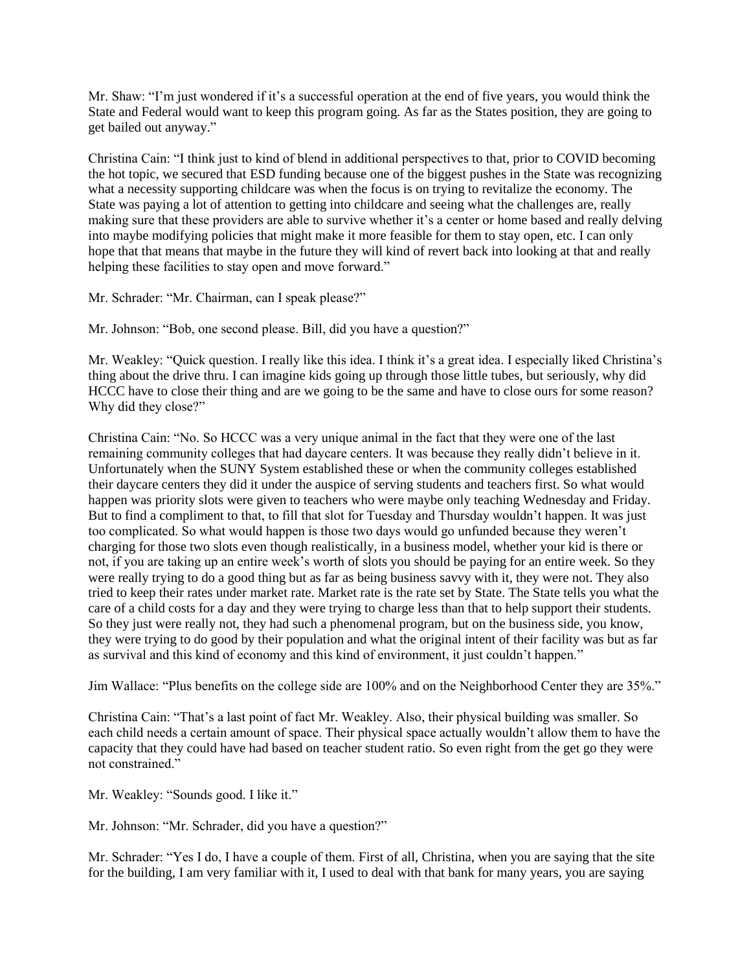Mr. Shaw: "I'm just wondered if it's a successful operation at the end of five years, you would think the State and Federal would want to keep this program going. As far as the States position, they are going to get bailed out anyway."

Christina Cain: "I think just to kind of blend in additional perspectives to that, prior to COVID becoming the hot topic, we secured that ESD funding because one of the biggest pushes in the State was recognizing what a necessity supporting childcare was when the focus is on trying to revitalize the economy. The State was paying a lot of attention to getting into childcare and seeing what the challenges are, really making sure that these providers are able to survive whether it's a center or home based and really delving into maybe modifying policies that might make it more feasible for them to stay open, etc. I can only hope that that means that maybe in the future they will kind of revert back into looking at that and really helping these facilities to stay open and move forward."

Mr. Schrader: "Mr. Chairman, can I speak please?"

Mr. Johnson: "Bob, one second please. Bill, did you have a question?"

Mr. Weakley: "Quick question. I really like this idea. I think it's a great idea. I especially liked Christina's thing about the drive thru. I can imagine kids going up through those little tubes, but seriously, why did HCCC have to close their thing and are we going to be the same and have to close ours for some reason? Why did they close?"

Christina Cain: "No. So HCCC was a very unique animal in the fact that they were one of the last remaining community colleges that had daycare centers. It was because they really didn't believe in it. Unfortunately when the SUNY System established these or when the community colleges established their daycare centers they did it under the auspice of serving students and teachers first. So what would happen was priority slots were given to teachers who were maybe only teaching Wednesday and Friday. But to find a compliment to that, to fill that slot for Tuesday and Thursday wouldn't happen. It was just too complicated. So what would happen is those two days would go unfunded because they weren't charging for those two slots even though realistically, in a business model, whether your kid is there or not, if you are taking up an entire week's worth of slots you should be paying for an entire week. So they were really trying to do a good thing but as far as being business savvy with it, they were not. They also tried to keep their rates under market rate. Market rate is the rate set by State. The State tells you what the care of a child costs for a day and they were trying to charge less than that to help support their students. So they just were really not, they had such a phenomenal program, but on the business side, you know, they were trying to do good by their population and what the original intent of their facility was but as far as survival and this kind of economy and this kind of environment, it just couldn't happen."

Jim Wallace: "Plus benefits on the college side are 100% and on the Neighborhood Center they are 35%."

Christina Cain: "That's a last point of fact Mr. Weakley. Also, their physical building was smaller. So each child needs a certain amount of space. Their physical space actually wouldn't allow them to have the capacity that they could have had based on teacher student ratio. So even right from the get go they were not constrained."

Mr. Weakley: "Sounds good. I like it."

Mr. Johnson: "Mr. Schrader, did you have a question?"

Mr. Schrader: "Yes I do, I have a couple of them. First of all, Christina, when you are saying that the site for the building, I am very familiar with it, I used to deal with that bank for many years, you are saying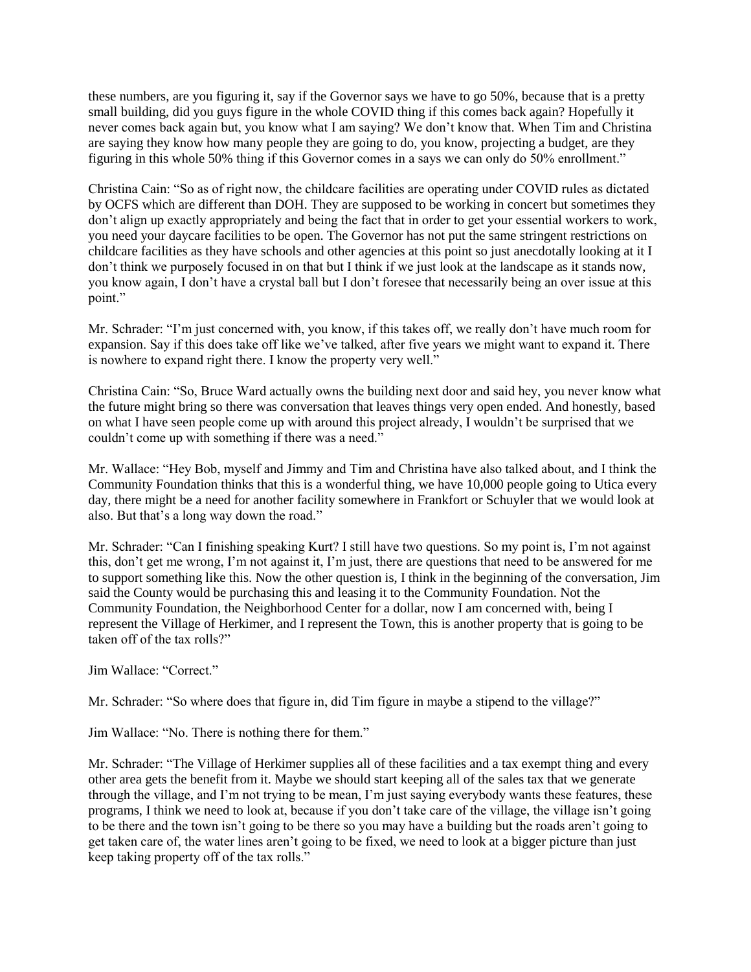these numbers, are you figuring it, say if the Governor says we have to go 50%, because that is a pretty small building, did you guys figure in the whole COVID thing if this comes back again? Hopefully it never comes back again but, you know what I am saying? We don't know that. When Tim and Christina are saying they know how many people they are going to do, you know, projecting a budget, are they figuring in this whole 50% thing if this Governor comes in a says we can only do 50% enrollment."

Christina Cain: "So as of right now, the childcare facilities are operating under COVID rules as dictated by OCFS which are different than DOH. They are supposed to be working in concert but sometimes they don't align up exactly appropriately and being the fact that in order to get your essential workers to work, you need your daycare facilities to be open. The Governor has not put the same stringent restrictions on childcare facilities as they have schools and other agencies at this point so just anecdotally looking at it I don't think we purposely focused in on that but I think if we just look at the landscape as it stands now, you know again, I don't have a crystal ball but I don't foresee that necessarily being an over issue at this point."

Mr. Schrader: "I'm just concerned with, you know, if this takes off, we really don't have much room for expansion. Say if this does take off like we've talked, after five years we might want to expand it. There is nowhere to expand right there. I know the property very well."

Christina Cain: "So, Bruce Ward actually owns the building next door and said hey, you never know what the future might bring so there was conversation that leaves things very open ended. And honestly, based on what I have seen people come up with around this project already, I wouldn't be surprised that we couldn't come up with something if there was a need."

Mr. Wallace: "Hey Bob, myself and Jimmy and Tim and Christina have also talked about, and I think the Community Foundation thinks that this is a wonderful thing, we have 10,000 people going to Utica every day, there might be a need for another facility somewhere in Frankfort or Schuyler that we would look at also. But that's a long way down the road."

Mr. Schrader: "Can I finishing speaking Kurt? I still have two questions. So my point is, I'm not against this, don't get me wrong, I'm not against it, I'm just, there are questions that need to be answered for me to support something like this. Now the other question is, I think in the beginning of the conversation, Jim said the County would be purchasing this and leasing it to the Community Foundation. Not the Community Foundation, the Neighborhood Center for a dollar, now I am concerned with, being I represent the Village of Herkimer, and I represent the Town, this is another property that is going to be taken off of the tax rolls?"

Jim Wallace: "Correct."

Mr. Schrader: "So where does that figure in, did Tim figure in maybe a stipend to the village?"

Jim Wallace: "No. There is nothing there for them."

Mr. Schrader: "The Village of Herkimer supplies all of these facilities and a tax exempt thing and every other area gets the benefit from it. Maybe we should start keeping all of the sales tax that we generate through the village, and I'm not trying to be mean, I'm just saying everybody wants these features, these programs, I think we need to look at, because if you don't take care of the village, the village isn't going to be there and the town isn't going to be there so you may have a building but the roads aren't going to get taken care of, the water lines aren't going to be fixed, we need to look at a bigger picture than just keep taking property off of the tax rolls."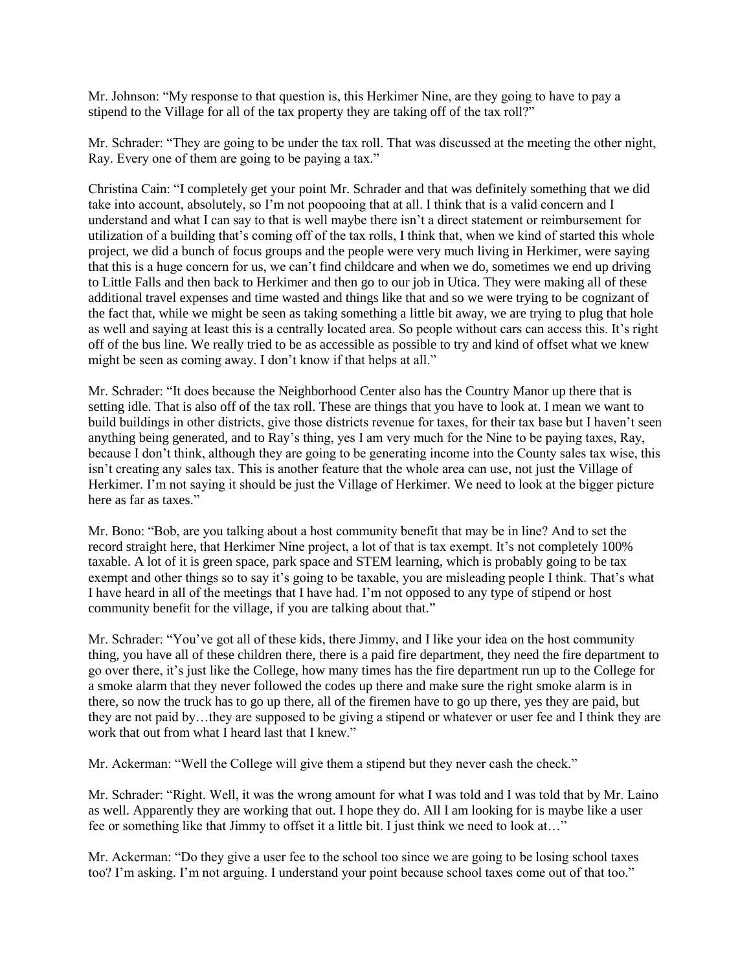Mr. Johnson: "My response to that question is, this Herkimer Nine, are they going to have to pay a stipend to the Village for all of the tax property they are taking off of the tax roll?"

Mr. Schrader: "They are going to be under the tax roll. That was discussed at the meeting the other night, Ray. Every one of them are going to be paying a tax."

Christina Cain: "I completely get your point Mr. Schrader and that was definitely something that we did take into account, absolutely, so I'm not poopooing that at all. I think that is a valid concern and I understand and what I can say to that is well maybe there isn't a direct statement or reimbursement for utilization of a building that's coming off of the tax rolls, I think that, when we kind of started this whole project, we did a bunch of focus groups and the people were very much living in Herkimer, were saying that this is a huge concern for us, we can't find childcare and when we do, sometimes we end up driving to Little Falls and then back to Herkimer and then go to our job in Utica. They were making all of these additional travel expenses and time wasted and things like that and so we were trying to be cognizant of the fact that, while we might be seen as taking something a little bit away, we are trying to plug that hole as well and saying at least this is a centrally located area. So people without cars can access this. It's right off of the bus line. We really tried to be as accessible as possible to try and kind of offset what we knew might be seen as coming away. I don't know if that helps at all."

Mr. Schrader: "It does because the Neighborhood Center also has the Country Manor up there that is setting idle. That is also off of the tax roll. These are things that you have to look at. I mean we want to build buildings in other districts, give those districts revenue for taxes, for their tax base but I haven't seen anything being generated, and to Ray's thing, yes I am very much for the Nine to be paying taxes, Ray, because I don't think, although they are going to be generating income into the County sales tax wise, this isn't creating any sales tax. This is another feature that the whole area can use, not just the Village of Herkimer. I'm not saying it should be just the Village of Herkimer. We need to look at the bigger picture here as far as taxes."

Mr. Bono: "Bob, are you talking about a host community benefit that may be in line? And to set the record straight here, that Herkimer Nine project, a lot of that is tax exempt. It's not completely 100% taxable. A lot of it is green space, park space and STEM learning, which is probably going to be tax exempt and other things so to say it's going to be taxable, you are misleading people I think. That's what I have heard in all of the meetings that I have had. I'm not opposed to any type of stipend or host community benefit for the village, if you are talking about that."

Mr. Schrader: "You've got all of these kids, there Jimmy, and I like your idea on the host community thing, you have all of these children there, there is a paid fire department, they need the fire department to go over there, it's just like the College, how many times has the fire department run up to the College for a smoke alarm that they never followed the codes up there and make sure the right smoke alarm is in there, so now the truck has to go up there, all of the firemen have to go up there, yes they are paid, but they are not paid by…they are supposed to be giving a stipend or whatever or user fee and I think they are work that out from what I heard last that I knew."

Mr. Ackerman: "Well the College will give them a stipend but they never cash the check."

Mr. Schrader: "Right. Well, it was the wrong amount for what I was told and I was told that by Mr. Laino as well. Apparently they are working that out. I hope they do. All I am looking for is maybe like a user fee or something like that Jimmy to offset it a little bit. I just think we need to look at…"

Mr. Ackerman: "Do they give a user fee to the school too since we are going to be losing school taxes too? I'm asking. I'm not arguing. I understand your point because school taxes come out of that too."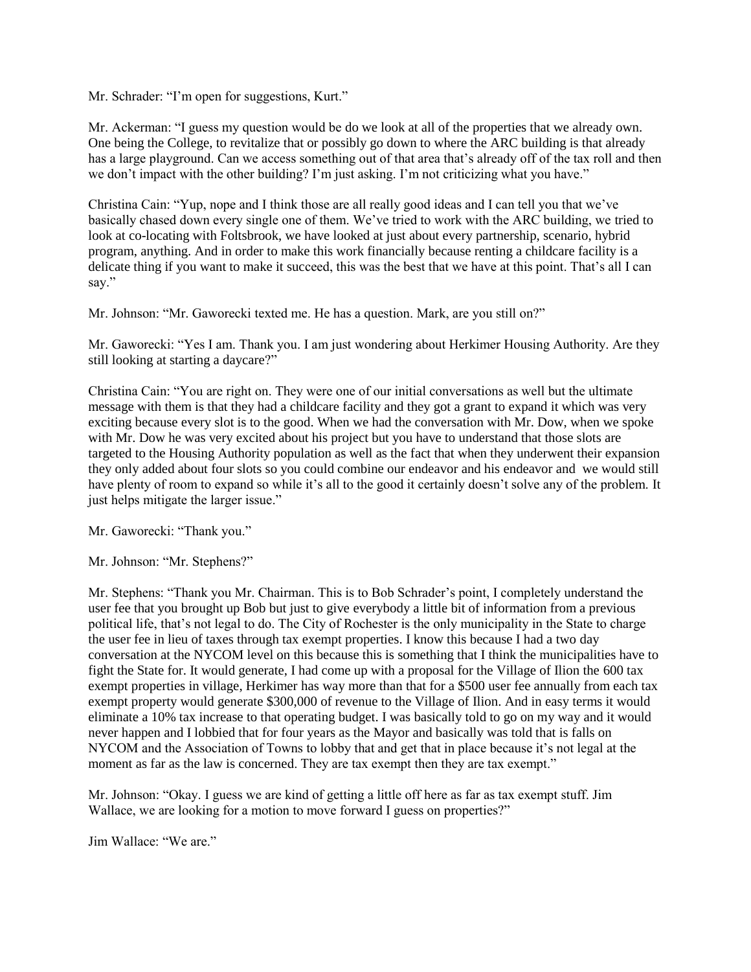Mr. Schrader: "I'm open for suggestions, Kurt."

Mr. Ackerman: "I guess my question would be do we look at all of the properties that we already own. One being the College, to revitalize that or possibly go down to where the ARC building is that already has a large playground. Can we access something out of that area that's already off of the tax roll and then we don't impact with the other building? I'm just asking. I'm not criticizing what you have."

Christina Cain: "Yup, nope and I think those are all really good ideas and I can tell you that we've basically chased down every single one of them. We've tried to work with the ARC building, we tried to look at co-locating with Foltsbrook, we have looked at just about every partnership, scenario, hybrid program, anything. And in order to make this work financially because renting a childcare facility is a delicate thing if you want to make it succeed, this was the best that we have at this point. That's all I can say."

Mr. Johnson: "Mr. Gaworecki texted me. He has a question. Mark, are you still on?"

Mr. Gaworecki: "Yes I am. Thank you. I am just wondering about Herkimer Housing Authority. Are they still looking at starting a daycare?"

Christina Cain: "You are right on. They were one of our initial conversations as well but the ultimate message with them is that they had a childcare facility and they got a grant to expand it which was very exciting because every slot is to the good. When we had the conversation with Mr. Dow, when we spoke with Mr. Dow he was very excited about his project but you have to understand that those slots are targeted to the Housing Authority population as well as the fact that when they underwent their expansion they only added about four slots so you could combine our endeavor and his endeavor and we would still have plenty of room to expand so while it's all to the good it certainly doesn't solve any of the problem. It just helps mitigate the larger issue."

Mr. Gaworecki: "Thank you."

Mr. Johnson: "Mr. Stephens?"

Mr. Stephens: "Thank you Mr. Chairman. This is to Bob Schrader's point, I completely understand the user fee that you brought up Bob but just to give everybody a little bit of information from a previous political life, that's not legal to do. The City of Rochester is the only municipality in the State to charge the user fee in lieu of taxes through tax exempt properties. I know this because I had a two day conversation at the NYCOM level on this because this is something that I think the municipalities have to fight the State for. It would generate, I had come up with a proposal for the Village of Ilion the 600 tax exempt properties in village, Herkimer has way more than that for a \$500 user fee annually from each tax exempt property would generate \$300,000 of revenue to the Village of Ilion. And in easy terms it would eliminate a 10% tax increase to that operating budget. I was basically told to go on my way and it would never happen and I lobbied that for four years as the Mayor and basically was told that is falls on NYCOM and the Association of Towns to lobby that and get that in place because it's not legal at the moment as far as the law is concerned. They are tax exempt then they are tax exempt."

Mr. Johnson: "Okay. I guess we are kind of getting a little off here as far as tax exempt stuff. Jim Wallace, we are looking for a motion to move forward I guess on properties?"

Jim Wallace: "We are."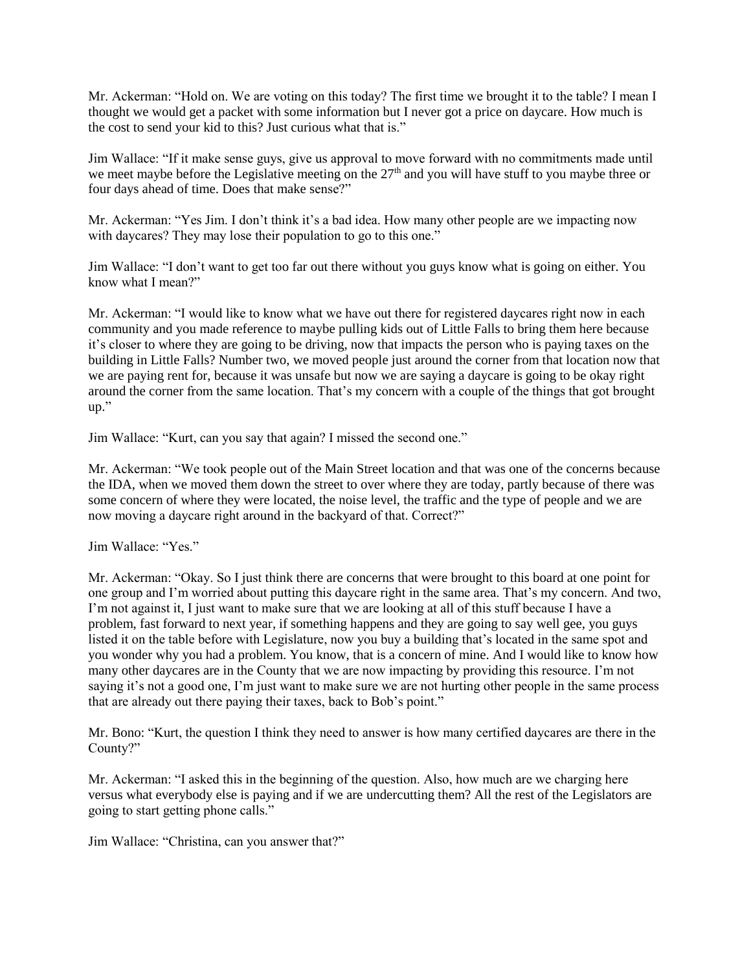Mr. Ackerman: "Hold on. We are voting on this today? The first time we brought it to the table? I mean I thought we would get a packet with some information but I never got a price on daycare. How much is the cost to send your kid to this? Just curious what that is."

Jim Wallace: "If it make sense guys, give us approval to move forward with no commitments made until we meet maybe before the Legislative meeting on the 27<sup>th</sup> and you will have stuff to you maybe three or four days ahead of time. Does that make sense?"

Mr. Ackerman: "Yes Jim. I don't think it's a bad idea. How many other people are we impacting now with daycares? They may lose their population to go to this one."

Jim Wallace: "I don't want to get too far out there without you guys know what is going on either. You know what I mean?"

Mr. Ackerman: "I would like to know what we have out there for registered daycares right now in each community and you made reference to maybe pulling kids out of Little Falls to bring them here because it's closer to where they are going to be driving, now that impacts the person who is paying taxes on the building in Little Falls? Number two, we moved people just around the corner from that location now that we are paying rent for, because it was unsafe but now we are saying a daycare is going to be okay right around the corner from the same location. That's my concern with a couple of the things that got brought up."

Jim Wallace: "Kurt, can you say that again? I missed the second one."

Mr. Ackerman: "We took people out of the Main Street location and that was one of the concerns because the IDA, when we moved them down the street to over where they are today, partly because of there was some concern of where they were located, the noise level, the traffic and the type of people and we are now moving a daycare right around in the backyard of that. Correct?"

Jim Wallace: "Yes."

Mr. Ackerman: "Okay. So I just think there are concerns that were brought to this board at one point for one group and I'm worried about putting this daycare right in the same area. That's my concern. And two, I'm not against it, I just want to make sure that we are looking at all of this stuff because I have a problem, fast forward to next year, if something happens and they are going to say well gee, you guys listed it on the table before with Legislature, now you buy a building that's located in the same spot and you wonder why you had a problem. You know, that is a concern of mine. And I would like to know how many other daycares are in the County that we are now impacting by providing this resource. I'm not saying it's not a good one, I'm just want to make sure we are not hurting other people in the same process that are already out there paying their taxes, back to Bob's point."

Mr. Bono: "Kurt, the question I think they need to answer is how many certified daycares are there in the County?"

Mr. Ackerman: "I asked this in the beginning of the question. Also, how much are we charging here versus what everybody else is paying and if we are undercutting them? All the rest of the Legislators are going to start getting phone calls."

Jim Wallace: "Christina, can you answer that?"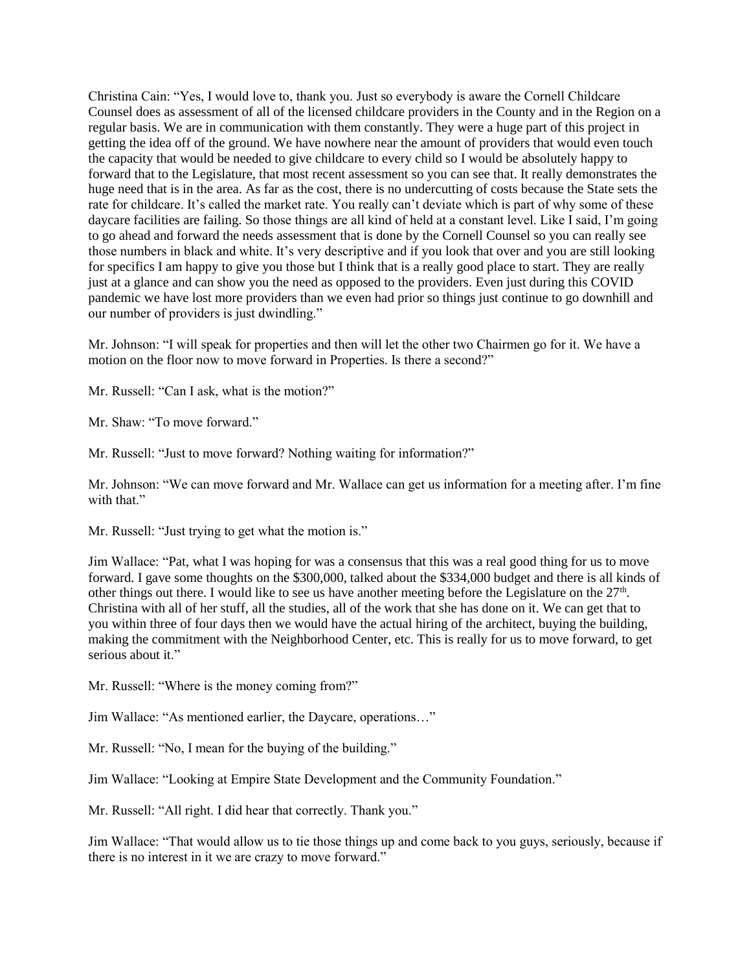Christina Cain: "Yes, I would love to, thank you. Just so everybody is aware the Cornell Childcare Counsel does as assessment of all of the licensed childcare providers in the County and in the Region on a regular basis. We are in communication with them constantly. They were a huge part of this project in getting the idea off of the ground. We have nowhere near the amount of providers that would even touch the capacity that would be needed to give childcare to every child so I would be absolutely happy to forward that to the Legislature, that most recent assessment so you can see that. It really demonstrates the huge need that is in the area. As far as the cost, there is no undercutting of costs because the State sets the rate for childcare. It's called the market rate. You really can't deviate which is part of why some of these daycare facilities are failing. So those things are all kind of held at a constant level. Like I said, I'm going to go ahead and forward the needs assessment that is done by the Cornell Counsel so you can really see those numbers in black and white. It's very descriptive and if you look that over and you are still looking for specifics I am happy to give you those but I think that is a really good place to start. They are really just at a glance and can show you the need as opposed to the providers. Even just during this COVID pandemic we have lost more providers than we even had prior so things just continue to go downhill and our number of providers is just dwindling."

Mr. Johnson: "I will speak for properties and then will let the other two Chairmen go for it. We have a motion on the floor now to move forward in Properties. Is there a second?"

Mr. Russell: "Can I ask, what is the motion?"

Mr. Shaw: "To move forward."

Mr. Russell: "Just to move forward? Nothing waiting for information?"

Mr. Johnson: "We can move forward and Mr. Wallace can get us information for a meeting after. I'm fine with that."

Mr. Russell: "Just trying to get what the motion is."

Jim Wallace: "Pat, what I was hoping for was a consensus that this was a real good thing for us to move forward. I gave some thoughts on the \$300,000, talked about the \$334,000 budget and there is all kinds of other things out there. I would like to see us have another meeting before the Legislature on the  $27<sup>th</sup>$ . Christina with all of her stuff, all the studies, all of the work that she has done on it. We can get that to you within three of four days then we would have the actual hiring of the architect, buying the building, making the commitment with the Neighborhood Center, etc. This is really for us to move forward, to get serious about it."

Mr. Russell: "Where is the money coming from?"

Jim Wallace: "As mentioned earlier, the Daycare, operations…"

Mr. Russell: "No, I mean for the buying of the building."

Jim Wallace: "Looking at Empire State Development and the Community Foundation."

Mr. Russell: "All right. I did hear that correctly. Thank you."

Jim Wallace: "That would allow us to tie those things up and come back to you guys, seriously, because if there is no interest in it we are crazy to move forward."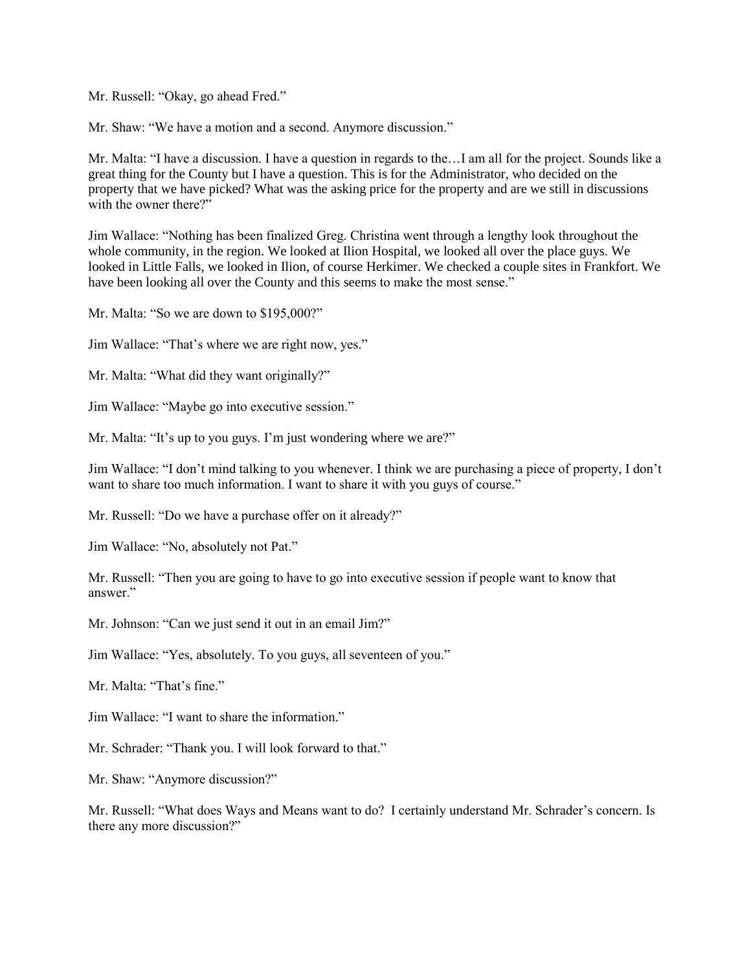Mr. Russell: "Okay, go ahead Fred."

Mr. Shaw: "We have a motion and a second. Anymore discussion."

Mr. Malta: "I have a discussion. I have a question in regards to the…I am all for the project. Sounds like a great thing for the County but I have a question. This is for the Administrator, who decided on the property that we have picked? What was the asking price for the property and are we still in discussions with the owner there?"

Jim Wallace: "Nothing has been finalized Greg. Christina went through a lengthy look throughout the whole community, in the region. We looked at Ilion Hospital, we looked all over the place guys. We looked in Little Falls, we looked in Ilion, of course Herkimer. We checked a couple sites in Frankfort. We have been looking all over the County and this seems to make the most sense."

Mr. Malta: "So we are down to \$195,000?"

Jim Wallace: "That's where we are right now, yes."

Mr. Malta: "What did they want originally?"

Jim Wallace: "Maybe go into executive session."

Mr. Malta: "It's up to you guys. I'm just wondering where we are?"

Jim Wallace: "I don't mind talking to you whenever. I think we are purchasing a piece of property, I don't want to share too much information. I want to share it with you guys of course."

Mr. Russell: "Do we have a purchase offer on it already?"

Jim Wallace: "No, absolutely not Pat."

Mr. Russell: "Then you are going to have to go into executive session if people want to know that answer."

Mr. Johnson: "Can we just send it out in an email Jim?"

Jim Wallace: "Yes, absolutely. To you guys, all seventeen of you."

Mr. Malta: "That's fine."

Jim Wallace: "I want to share the information."

Mr. Schrader: "Thank you. I will look forward to that."

Mr. Shaw: "Anymore discussion?"

Mr. Russell: "What does Ways and Means want to do? I certainly understand Mr. Schrader's concern. Is there any more discussion?"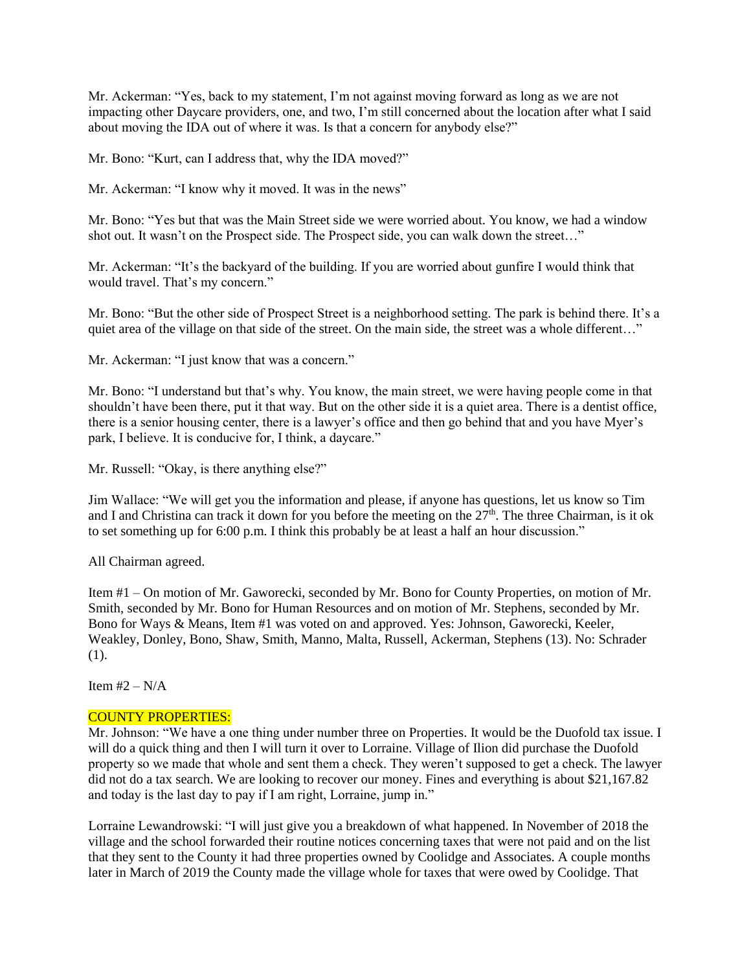Mr. Ackerman: "Yes, back to my statement, I'm not against moving forward as long as we are not impacting other Daycare providers, one, and two, I'm still concerned about the location after what I said about moving the IDA out of where it was. Is that a concern for anybody else?"

Mr. Bono: "Kurt, can I address that, why the IDA moved?"

Mr. Ackerman: "I know why it moved. It was in the news"

Mr. Bono: "Yes but that was the Main Street side we were worried about. You know, we had a window shot out. It wasn't on the Prospect side. The Prospect side, you can walk down the street…"

Mr. Ackerman: "It's the backyard of the building. If you are worried about gunfire I would think that would travel. That's my concern."

Mr. Bono: "But the other side of Prospect Street is a neighborhood setting. The park is behind there. It's a quiet area of the village on that side of the street. On the main side, the street was a whole different..."

Mr. Ackerman: "I just know that was a concern."

Mr. Bono: "I understand but that's why. You know, the main street, we were having people come in that shouldn't have been there, put it that way. But on the other side it is a quiet area. There is a dentist office, there is a senior housing center, there is a lawyer's office and then go behind that and you have Myer's park, I believe. It is conducive for, I think, a daycare."

Mr. Russell: "Okay, is there anything else?"

Jim Wallace: "We will get you the information and please, if anyone has questions, let us know so Tim and I and Christina can track it down for you before the meeting on the  $27<sup>th</sup>$ . The three Chairman, is it ok to set something up for 6:00 p.m. I think this probably be at least a half an hour discussion."

All Chairman agreed.

Item #1 – On motion of Mr. Gaworecki, seconded by Mr. Bono for County Properties, on motion of Mr. Smith, seconded by Mr. Bono for Human Resources and on motion of Mr. Stephens, seconded by Mr. Bono for Ways & Means, Item #1 was voted on and approved. Yes: Johnson, Gaworecki, Keeler, Weakley, Donley, Bono, Shaw, Smith, Manno, Malta, Russell, Ackerman, Stephens (13). No: Schrader (1).

Item  $#2 - N/A$ 

## COUNTY PROPERTIES:

Mr. Johnson: "We have a one thing under number three on Properties. It would be the Duofold tax issue. I will do a quick thing and then I will turn it over to Lorraine. Village of Ilion did purchase the Duofold property so we made that whole and sent them a check. They weren't supposed to get a check. The lawyer did not do a tax search. We are looking to recover our money. Fines and everything is about \$21,167.82 and today is the last day to pay if I am right, Lorraine, jump in."

Lorraine Lewandrowski: "I will just give you a breakdown of what happened. In November of 2018 the village and the school forwarded their routine notices concerning taxes that were not paid and on the list that they sent to the County it had three properties owned by Coolidge and Associates. A couple months later in March of 2019 the County made the village whole for taxes that were owed by Coolidge. That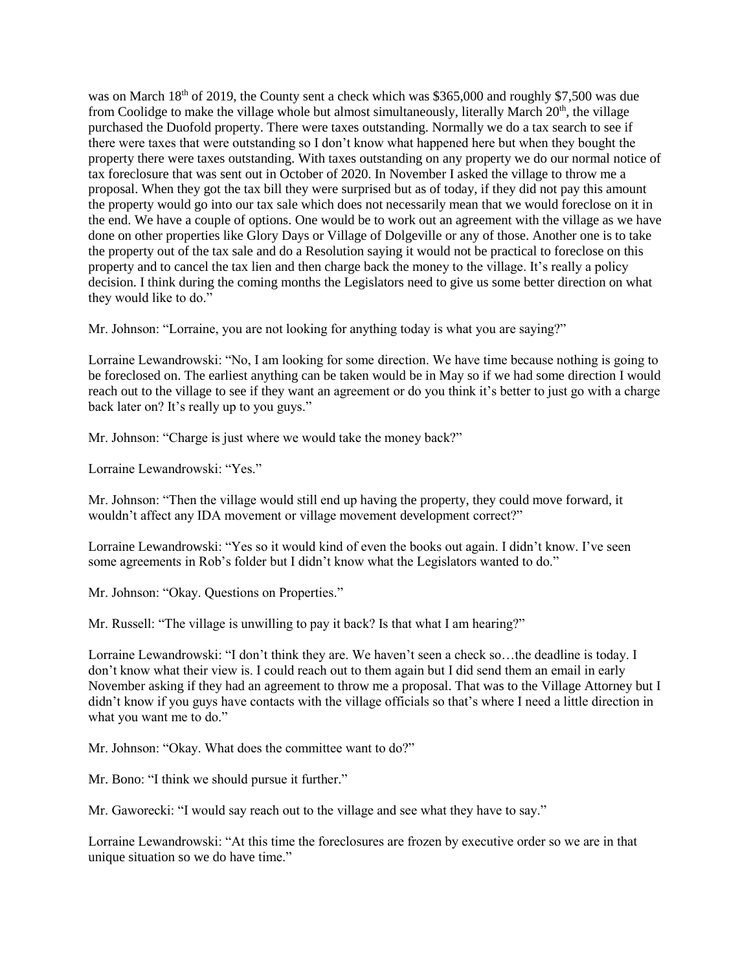was on March 18<sup>th</sup> of 2019, the County sent a check which was \$365,000 and roughly \$7,500 was due from Coolidge to make the village whole but almost simultaneously, literally March  $20<sup>th</sup>$ , the village purchased the Duofold property. There were taxes outstanding. Normally we do a tax search to see if there were taxes that were outstanding so I don't know what happened here but when they bought the property there were taxes outstanding. With taxes outstanding on any property we do our normal notice of tax foreclosure that was sent out in October of 2020. In November I asked the village to throw me a proposal. When they got the tax bill they were surprised but as of today, if they did not pay this amount the property would go into our tax sale which does not necessarily mean that we would foreclose on it in the end. We have a couple of options. One would be to work out an agreement with the village as we have done on other properties like Glory Days or Village of Dolgeville or any of those. Another one is to take the property out of the tax sale and do a Resolution saying it would not be practical to foreclose on this property and to cancel the tax lien and then charge back the money to the village. It's really a policy decision. I think during the coming months the Legislators need to give us some better direction on what they would like to do."

Mr. Johnson: "Lorraine, you are not looking for anything today is what you are saying?"

Lorraine Lewandrowski: "No, I am looking for some direction. We have time because nothing is going to be foreclosed on. The earliest anything can be taken would be in May so if we had some direction I would reach out to the village to see if they want an agreement or do you think it's better to just go with a charge back later on? It's really up to you guys."

Mr. Johnson: "Charge is just where we would take the money back?"

Lorraine Lewandrowski: "Yes."

Mr. Johnson: "Then the village would still end up having the property, they could move forward, it wouldn't affect any IDA movement or village movement development correct?"

Lorraine Lewandrowski: "Yes so it would kind of even the books out again. I didn't know. I've seen some agreements in Rob's folder but I didn't know what the Legislators wanted to do."

Mr. Johnson: "Okay. Questions on Properties."

Mr. Russell: "The village is unwilling to pay it back? Is that what I am hearing?"

Lorraine Lewandrowski: "I don't think they are. We haven't seen a check so…the deadline is today. I don't know what their view is. I could reach out to them again but I did send them an email in early November asking if they had an agreement to throw me a proposal. That was to the Village Attorney but I didn't know if you guys have contacts with the village officials so that's where I need a little direction in what you want me to do."

Mr. Johnson: "Okay. What does the committee want to do?"

Mr. Bono: "I think we should pursue it further."

Mr. Gaworecki: "I would say reach out to the village and see what they have to say."

Lorraine Lewandrowski: "At this time the foreclosures are frozen by executive order so we are in that unique situation so we do have time."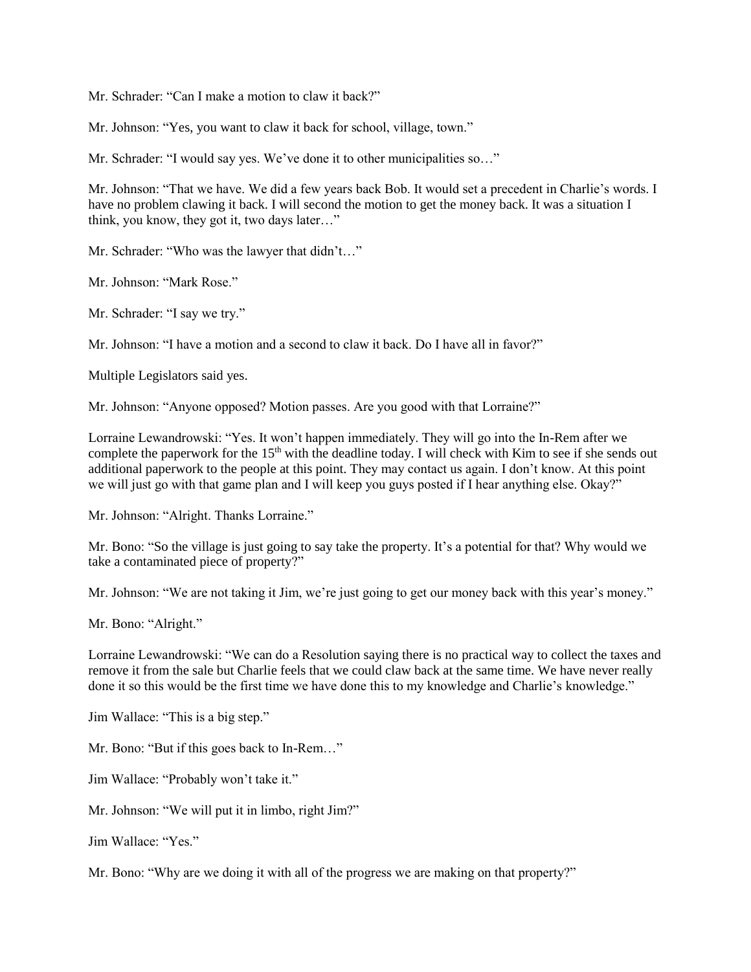Mr. Schrader: "Can I make a motion to claw it back?"

Mr. Johnson: "Yes, you want to claw it back for school, village, town."

Mr. Schrader: "I would say yes. We've done it to other municipalities so..."

Mr. Johnson: "That we have. We did a few years back Bob. It would set a precedent in Charlie's words. I have no problem clawing it back. I will second the motion to get the money back. It was a situation I think, you know, they got it, two days later…"

Mr. Schrader: "Who was the lawyer that didn't…"

Mr. Johnson: "Mark Rose."

Mr. Schrader: "I say we try."

Mr. Johnson: "I have a motion and a second to claw it back. Do I have all in favor?"

Multiple Legislators said yes.

Mr. Johnson: "Anyone opposed? Motion passes. Are you good with that Lorraine?"

Lorraine Lewandrowski: "Yes. It won't happen immediately. They will go into the In-Rem after we complete the paperwork for the 15<sup>th</sup> with the deadline today. I will check with Kim to see if she sends out additional paperwork to the people at this point. They may contact us again. I don't know. At this point we will just go with that game plan and I will keep you guys posted if I hear anything else. Okay?"

Mr. Johnson: "Alright. Thanks Lorraine."

Mr. Bono: "So the village is just going to say take the property. It's a potential for that? Why would we take a contaminated piece of property?"

Mr. Johnson: "We are not taking it Jim, we're just going to get our money back with this year's money."

Mr. Bono: "Alright."

Lorraine Lewandrowski: "We can do a Resolution saying there is no practical way to collect the taxes and remove it from the sale but Charlie feels that we could claw back at the same time. We have never really done it so this would be the first time we have done this to my knowledge and Charlie's knowledge."

Jim Wallace: "This is a big step."

Mr. Bono: "But if this goes back to In-Rem…"

Jim Wallace: "Probably won't take it."

Mr. Johnson: "We will put it in limbo, right Jim?"

Jim Wallace: "Yes."

Mr. Bono: "Why are we doing it with all of the progress we are making on that property?"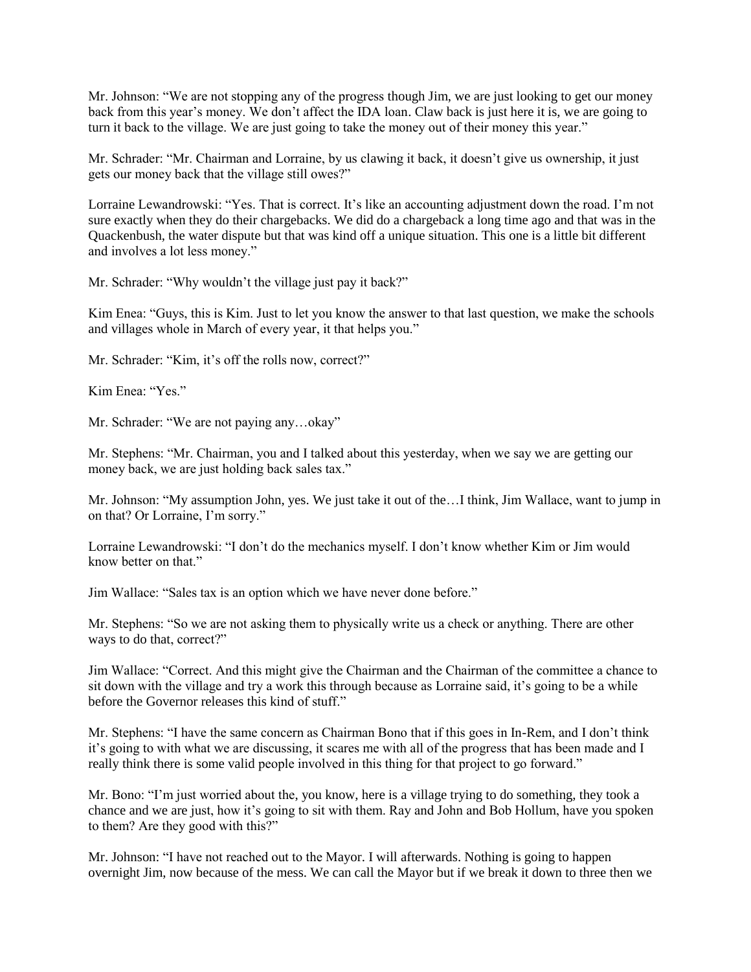Mr. Johnson: "We are not stopping any of the progress though Jim, we are just looking to get our money back from this year's money. We don't affect the IDA loan. Claw back is just here it is, we are going to turn it back to the village. We are just going to take the money out of their money this year."

Mr. Schrader: "Mr. Chairman and Lorraine, by us clawing it back, it doesn't give us ownership, it just gets our money back that the village still owes?"

Lorraine Lewandrowski: "Yes. That is correct. It's like an accounting adjustment down the road. I'm not sure exactly when they do their chargebacks. We did do a chargeback a long time ago and that was in the Quackenbush, the water dispute but that was kind off a unique situation. This one is a little bit different and involves a lot less money."

Mr. Schrader: "Why wouldn't the village just pay it back?"

Kim Enea: "Guys, this is Kim. Just to let you know the answer to that last question, we make the schools and villages whole in March of every year, it that helps you."

Mr. Schrader: "Kim, it's off the rolls now, correct?"

Kim Enea: "Yes."

Mr. Schrader: "We are not paying any…okay"

Mr. Stephens: "Mr. Chairman, you and I talked about this yesterday, when we say we are getting our money back, we are just holding back sales tax."

Mr. Johnson: "My assumption John, yes. We just take it out of the…I think, Jim Wallace, want to jump in on that? Or Lorraine, I'm sorry."

Lorraine Lewandrowski: "I don't do the mechanics myself. I don't know whether Kim or Jim would know better on that."

Jim Wallace: "Sales tax is an option which we have never done before."

Mr. Stephens: "So we are not asking them to physically write us a check or anything. There are other ways to do that, correct?"

Jim Wallace: "Correct. And this might give the Chairman and the Chairman of the committee a chance to sit down with the village and try a work this through because as Lorraine said, it's going to be a while before the Governor releases this kind of stuff."

Mr. Stephens: "I have the same concern as Chairman Bono that if this goes in In-Rem, and I don't think it's going to with what we are discussing, it scares me with all of the progress that has been made and I really think there is some valid people involved in this thing for that project to go forward."

Mr. Bono: "I'm just worried about the, you know, here is a village trying to do something, they took a chance and we are just, how it's going to sit with them. Ray and John and Bob Hollum, have you spoken to them? Are they good with this?"

Mr. Johnson: "I have not reached out to the Mayor. I will afterwards. Nothing is going to happen overnight Jim, now because of the mess. We can call the Mayor but if we break it down to three then we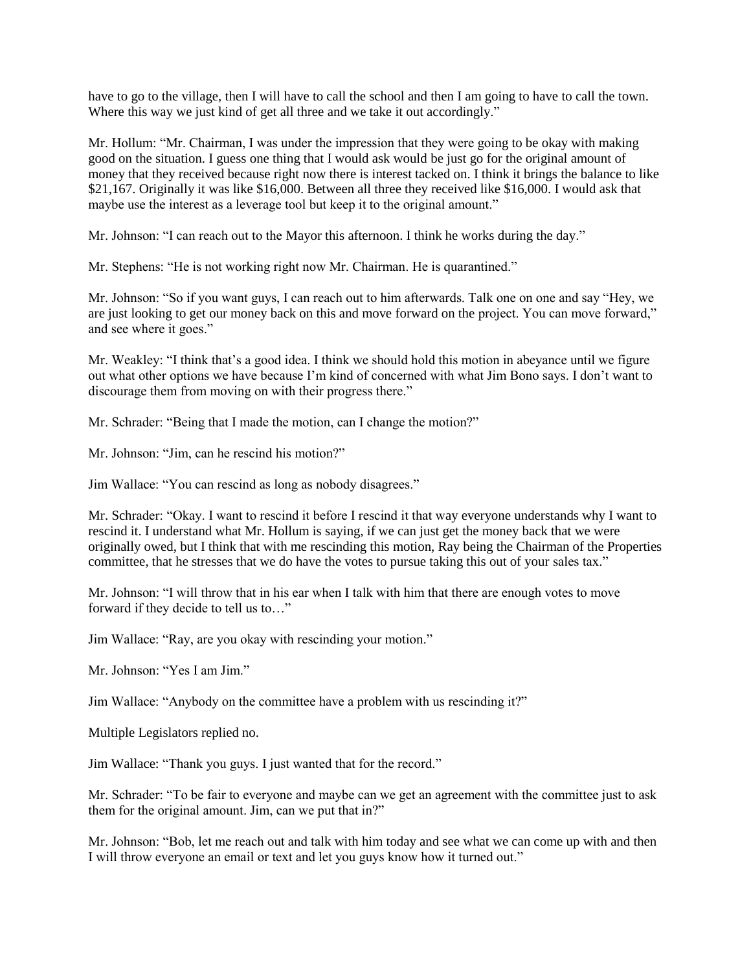have to go to the village, then I will have to call the school and then I am going to have to call the town. Where this way we just kind of get all three and we take it out accordingly."

Mr. Hollum: "Mr. Chairman, I was under the impression that they were going to be okay with making good on the situation. I guess one thing that I would ask would be just go for the original amount of money that they received because right now there is interest tacked on. I think it brings the balance to like \$21,167. Originally it was like \$16,000. Between all three they received like \$16,000. I would ask that maybe use the interest as a leverage tool but keep it to the original amount."

Mr. Johnson: "I can reach out to the Mayor this afternoon. I think he works during the day."

Mr. Stephens: "He is not working right now Mr. Chairman. He is quarantined."

Mr. Johnson: "So if you want guys, I can reach out to him afterwards. Talk one on one and say "Hey, we are just looking to get our money back on this and move forward on the project. You can move forward," and see where it goes."

Mr. Weakley: "I think that's a good idea. I think we should hold this motion in abeyance until we figure out what other options we have because I'm kind of concerned with what Jim Bono says. I don't want to discourage them from moving on with their progress there."

Mr. Schrader: "Being that I made the motion, can I change the motion?"

Mr. Johnson: "Jim, can he rescind his motion?"

Jim Wallace: "You can rescind as long as nobody disagrees."

Mr. Schrader: "Okay. I want to rescind it before I rescind it that way everyone understands why I want to rescind it. I understand what Mr. Hollum is saying, if we can just get the money back that we were originally owed, but I think that with me rescinding this motion, Ray being the Chairman of the Properties committee, that he stresses that we do have the votes to pursue taking this out of your sales tax."

Mr. Johnson: "I will throw that in his ear when I talk with him that there are enough votes to move forward if they decide to tell us to…"

Jim Wallace: "Ray, are you okay with rescinding your motion."

Mr. Johnson: "Yes I am Jim."

Jim Wallace: "Anybody on the committee have a problem with us rescinding it?"

Multiple Legislators replied no.

Jim Wallace: "Thank you guys. I just wanted that for the record."

Mr. Schrader: "To be fair to everyone and maybe can we get an agreement with the committee just to ask them for the original amount. Jim, can we put that in?"

Mr. Johnson: "Bob, let me reach out and talk with him today and see what we can come up with and then I will throw everyone an email or text and let you guys know how it turned out."